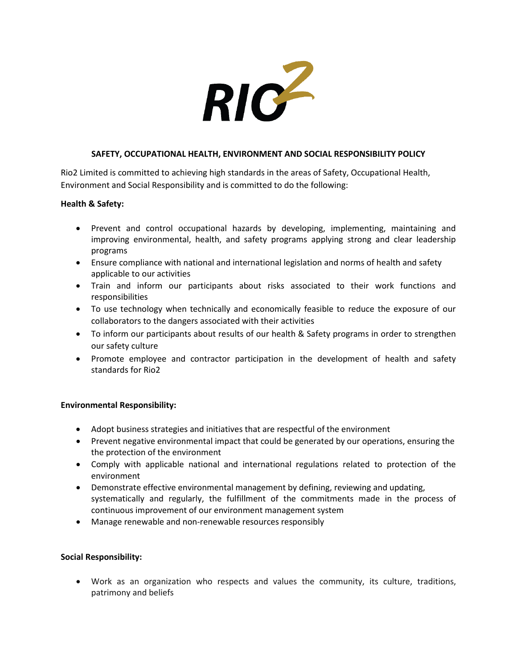

## **SAFETY, OCCUPATIONAL HEALTH, ENVIRONMENT AND SOCIAL RESPONSIBILITY POLICY**

Rio2 Limited is committed to achieving high standards in the areas of Safety, Occupational Health, Environment and Social Responsibility and is committed to do the following:

## **Health & Safety:**

- Prevent and control occupational hazards by developing, implementing, maintaining and improving environmental, health, and safety programs applying strong and clear leadership programs
- Ensure compliance with national and international legislation and norms of health and safety applicable to our activities
- Train and inform our participants about risks associated to their work functions and responsibilities
- To use technology when technically and economically feasible to reduce the exposure of our collaborators to the dangers associated with their activities
- To inform our participants about results of our health & Safety programs in order to strengthen our safety culture
- Promote employee and contractor participation in the development of health and safety standards for Rio2

## **Environmental Responsibility:**

- Adopt business strategies and initiatives that are respectful of the environment
- Prevent negative environmental impact that could be generated by our operations, ensuring the the protection of the environment
- Comply with applicable national and international regulations related to protection of the environment
- Demonstrate effective environmental management by defining, reviewing and updating, systematically and regularly, the fulfillment of the commitments made in the process of continuous improvement of our environment management system
- Manage renewable and non-renewable resources responsibly

## **Social Responsibility:**

• Work as an organization who respects and values the community, its culture, traditions, patrimony and beliefs